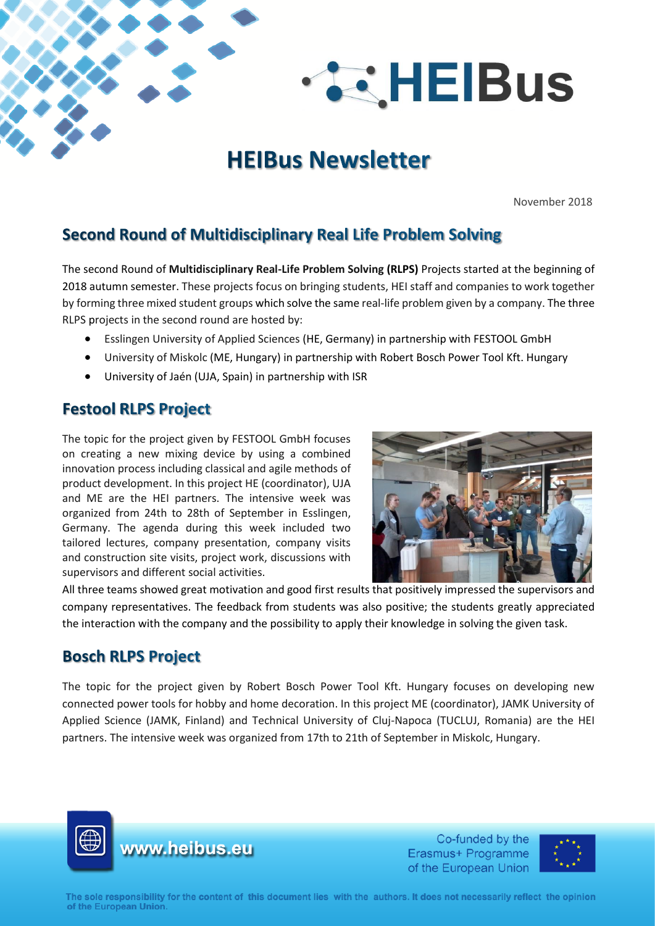

November 2018

## **Second Round of Multidisciplinary Real Life Problem Solving**

The second Round of **Multidisciplinary Real-Life Problem Solving (RLPS)** Projects started at the beginning of 2018 autumn semester. These projects focus on bringing students, HEI staff and companies to work together by forming three mixed student groups which solve the same real-life problem given by a company. The three RLPS projects in the second round are hosted by:

- Esslingen University of Applied Sciences (HE, Germany) in partnership with FESTOOL GmbH
- University of Miskolc (ME, Hungary) in partnership with Robert Bosch Power Tool Kft. Hungary
- University of Jaén (UJA, Spain) in partnership with ISR

## **Festool RLPS Project**

The topic for the project given by FESTOOL GmbH focuses on creating a new mixing device by using a combined innovation process including classical and agile methods of product development. In this project HE (coordinator), UJA and ME are the HEI partners. The intensive week was organized from 24th to 28th of September in Esslingen, Germany. The agenda during this week included two tailored lectures, company presentation, company visits and construction site visits, project work, discussions with supervisors and different social activities.



All three teams showed great motivation and good first results that positively impressed the supervisors and company representatives. The feedback from students was also positive; the students greatly appreciated the interaction with the company and the possibility to apply their knowledge in solving the given task.

## **Bosch RLPS Project**

The topic for the project given by Robert Bosch Power Tool Kft. Hungary focuses on developing new connected power tools for hobby and home decoration. In this project ME (coordinator), JAMK University of Applied Science (JAMK, Finland) and Technical University of Cluj-Napoca (TUCLUJ, Romania) are the HEI partners. The intensive week was organized from 17th to 21th of September in Miskolc, Hungary.



Co-funded by the Erasmus+ Programme of the European Union



The sole responsibility for the content of this document lies with the authors. It does not necessarily reflect the opinion of the European Union.